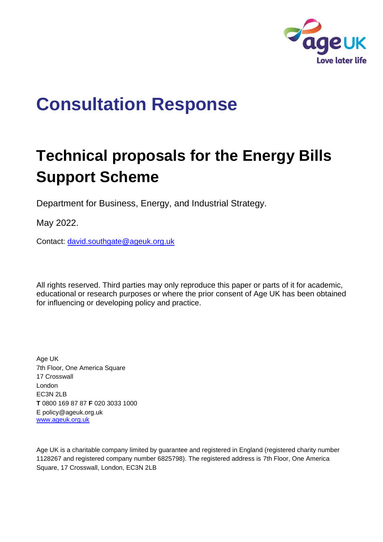

# **Consultation Response**

# **Technical proposals for the Energy Bills Support Scheme**

Department for Business, Energy, and Industrial Strategy.

May 2022.

Contact: [david.southgate@ageuk.org.uk](mailto:david.southgate@ageuk.org.uk) 

All rights reserved. Third parties may only reproduce this paper or parts of it for academic, educational or research purposes or where the prior consent of Age UK has been obtained for influencing or developing policy and practice.

Age UK 7th Floor, One America Square 17 Crosswall London EC3N 2LB **T** 0800 169 87 87 **F** 020 3033 1000 E policy@ageuk.org.uk [www.ageuk.org.uk](http://www.ageuk.org.uk/)

Age UK is a charitable company limited by guarantee and registered in England (registered charity number 1128267 and registered company number 6825798). The registered address is 7th Floor, One America Square, 17 Crosswall, London, EC3N 2LB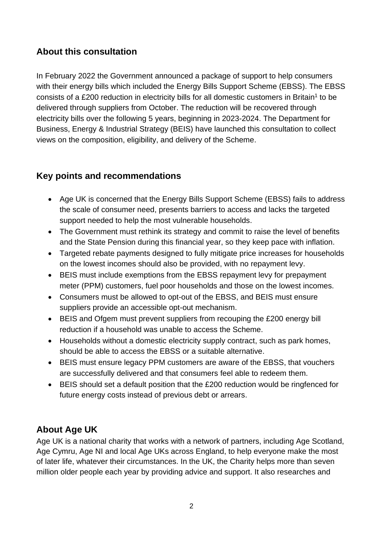# **About this consultation**

In February 2022 the Government announced a package of support to help consumers with their energy bills which included the Energy Bills Support Scheme (EBSS). The EBSS consists of a £200 reduction in electricity bills for all domestic customers in Britain<sup>1</sup> to be delivered through suppliers from October. The reduction will be recovered through electricity bills over the following 5 years, beginning in 2023-2024. The Department for Business, Energy & Industrial Strategy (BEIS) have launched this consultation to collect views on the composition, eligibility, and delivery of the Scheme.

# **Key points and recommendations**

- Age UK is concerned that the Energy Bills Support Scheme (EBSS) fails to address the scale of consumer need, presents barriers to access and lacks the targeted support needed to help the most vulnerable households.
- The Government must rethink its strategy and commit to raise the level of benefits and the State Pension during this financial year, so they keep pace with inflation.
- Targeted rebate payments designed to fully mitigate price increases for households on the lowest incomes should also be provided, with no repayment levy.
- BEIS must include exemptions from the EBSS repayment levy for prepayment meter (PPM) customers, fuel poor households and those on the lowest incomes.
- Consumers must be allowed to opt-out of the EBSS, and BEIS must ensure suppliers provide an accessible opt-out mechanism.
- BEIS and Ofgem must prevent suppliers from recouping the £200 energy bill reduction if a household was unable to access the Scheme.
- Households without a domestic electricity supply contract, such as park homes, should be able to access the EBSS or a suitable alternative.
- BEIS must ensure legacy PPM customers are aware of the EBSS, that vouchers are successfully delivered and that consumers feel able to redeem them.
- BEIS should set a default position that the £200 reduction would be ringfenced for future energy costs instead of previous debt or arrears.

# **About Age UK**

Age UK is a national charity that works with a network of partners, including Age Scotland, Age Cymru, Age NI and local Age UKs across England, to help everyone make the most of later life, whatever their circumstances. In the UK, the Charity helps more than seven million older people each year by providing advice and support. It also researches and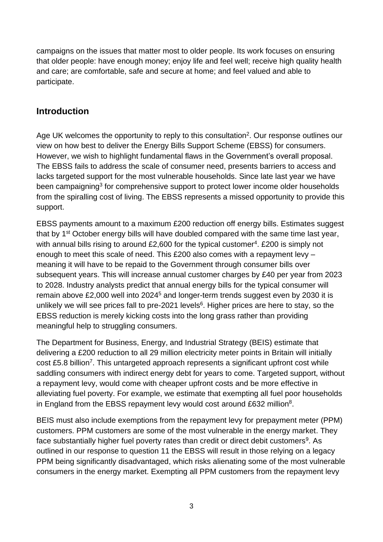campaigns on the issues that matter most to older people. Its work focuses on ensuring that older people: have enough money; enjoy life and feel well; receive high quality health and care; are comfortable, safe and secure at home; and feel valued and able to participate.

# **Introduction**

Age UK welcomes the opportunity to reply to this consultation<sup>2</sup>. Our response outlines our view on how best to deliver the Energy Bills Support Scheme (EBSS) for consumers. However, we wish to highlight fundamental flaws in the Government's overall proposal. The EBSS fails to address the scale of consumer need, presents barriers to access and lacks targeted support for the most vulnerable households. Since late last year we have been campaigning<sup>3</sup> for comprehensive support to protect lower income older households from the spiralling cost of living. The EBSS represents a missed opportunity to provide this support.

EBSS payments amount to a maximum £200 reduction off energy bills. Estimates suggest that by 1<sup>st</sup> October energy bills will have doubled compared with the same time last year, with annual bills rising to around £2,600 for the typical customer<sup>4</sup>. £200 is simply not enough to meet this scale of need. This £200 also comes with a repayment levy – meaning it will have to be repaid to the Government through consumer bills over subsequent years. This will increase annual customer charges by £40 per year from 2023 to 2028. Industry analysts predict that annual energy bills for the typical consumer will remain above £2,000 well into 2024<sup>5</sup> and longer-term trends suggest even by 2030 it is unlikely we will see prices fall to pre-2021 levels<sup>6</sup>. Higher prices are here to stay, so the EBSS reduction is merely kicking costs into the long grass rather than providing meaningful help to struggling consumers.

The Department for Business, Energy, and Industrial Strategy (BEIS) estimate that delivering a £200 reduction to all 29 million electricity meter points in Britain will initially cost £5.8 billion<sup>7</sup>. This untargeted approach represents a significant upfront cost while saddling consumers with indirect energy debt for years to come. Targeted support, without a repayment levy, would come with cheaper upfront costs and be more effective in alleviating fuel poverty. For example, we estimate that exempting all fuel poor households in England from the EBSS repayment levy would cost around £632 million $8$ .

BEIS must also include exemptions from the repayment levy for prepayment meter (PPM) customers. PPM customers are some of the most vulnerable in the energy market. They face substantially higher fuel poverty rates than credit or direct debit customers<sup>9</sup>. As outlined in our response to question 11 the EBSS will result in those relying on a legacy PPM being significantly disadvantaged, which risks alienating some of the most vulnerable consumers in the energy market. Exempting all PPM customers from the repayment levy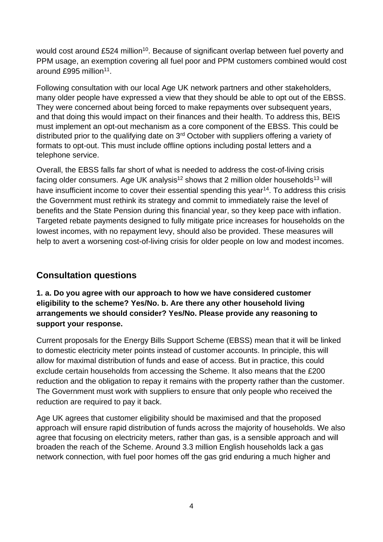would cost around £524 million<sup>10</sup>. Because of significant overlap between fuel poverty and PPM usage, an exemption covering all fuel poor and PPM customers combined would cost around £995 million<sup>11</sup>.

Following consultation with our local Age UK network partners and other stakeholders, many older people have expressed a view that they should be able to opt out of the EBSS. They were concerned about being forced to make repayments over subsequent years, and that doing this would impact on their finances and their health. To address this, BEIS must implement an opt-out mechanism as a core component of the EBSS. This could be distributed prior to the qualifying date on 3<sup>rd</sup> October with suppliers offering a variety of formats to opt-out. This must include offline options including postal letters and a telephone service.

Overall, the EBSS falls far short of what is needed to address the cost-of-living crisis facing older consumers. Age UK analysis<sup>12</sup> shows that 2 million older households<sup>13</sup> will have insufficient income to cover their essential spending this year<sup>14</sup>. To address this crisis the Government must rethink its strategy and commit to immediately raise the level of benefits and the State Pension during this financial year, so they keep pace with inflation. Targeted rebate payments designed to fully mitigate price increases for households on the lowest incomes, with no repayment levy, should also be provided. These measures will help to avert a worsening cost-of-living crisis for older people on low and modest incomes.

# **Consultation questions**

# **1. a. Do you agree with our approach to how we have considered customer eligibility to the scheme? Yes/No. b. Are there any other household living arrangements we should consider? Yes/No. Please provide any reasoning to support your response.**

Current proposals for the Energy Bills Support Scheme (EBSS) mean that it will be linked to domestic electricity meter points instead of customer accounts. In principle, this will allow for maximal distribution of funds and ease of access. But in practice, this could exclude certain households from accessing the Scheme. It also means that the £200 reduction and the obligation to repay it remains with the property rather than the customer. The Government must work with suppliers to ensure that only people who received the reduction are required to pay it back.

Age UK agrees that customer eligibility should be maximised and that the proposed approach will ensure rapid distribution of funds across the majority of households. We also agree that focusing on electricity meters, rather than gas, is a sensible approach and will broaden the reach of the Scheme. Around 3.3 million English households lack a gas network connection, with fuel poor homes off the gas grid enduring a much higher and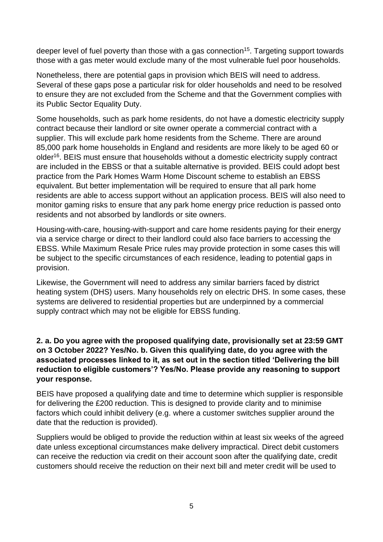deeper level of fuel poverty than those with a gas connection<sup>15</sup>. Targeting support towards those with a gas meter would exclude many of the most vulnerable fuel poor households.

Nonetheless, there are potential gaps in provision which BEIS will need to address. Several of these gaps pose a particular risk for older households and need to be resolved to ensure they are not excluded from the Scheme and that the Government complies with its Public Sector Equality Duty.

Some households, such as park home residents, do not have a domestic electricity supply contract because their landlord or site owner operate a commercial contract with a supplier. This will exclude park home residents from the Scheme. There are around 85,000 park home households in England and residents are more likely to be aged 60 or older<sup>16</sup>. BEIS must ensure that households without a domestic electricity supply contract are included in the EBSS or that a suitable alternative is provided. BEIS could adopt best practice from the Park Homes Warm Home Discount scheme to establish an EBSS equivalent. But better implementation will be required to ensure that all park home residents are able to access support without an application process. BEIS will also need to monitor gaming risks to ensure that any park home energy price reduction is passed onto residents and not absorbed by landlords or site owners.

Housing-with-care, housing-with-support and care home residents paying for their energy via a service charge or direct to their landlord could also face barriers to accessing the EBSS. While Maximum Resale Price rules may provide protection in some cases this will be subject to the specific circumstances of each residence, leading to potential gaps in provision.

Likewise, the Government will need to address any similar barriers faced by district heating system (DHS) users. Many households rely on electric DHS. In some cases, these systems are delivered to residential properties but are underpinned by a commercial supply contract which may not be eligible for EBSS funding.

## **2. a. Do you agree with the proposed qualifying date, provisionally set at 23:59 GMT on 3 October 2022? Yes/No. b. Given this qualifying date, do you agree with the associated processes linked to it, as set out in the section titled 'Delivering the bill reduction to eligible customers'? Yes/No. Please provide any reasoning to support your response.**

BEIS have proposed a qualifying date and time to determine which supplier is responsible for delivering the £200 reduction. This is designed to provide clarity and to minimise factors which could inhibit delivery (e.g. where a customer switches supplier around the date that the reduction is provided).

Suppliers would be obliged to provide the reduction within at least six weeks of the agreed date unless exceptional circumstances make delivery impractical. Direct debit customers can receive the reduction via credit on their account soon after the qualifying date, credit customers should receive the reduction on their next bill and meter credit will be used to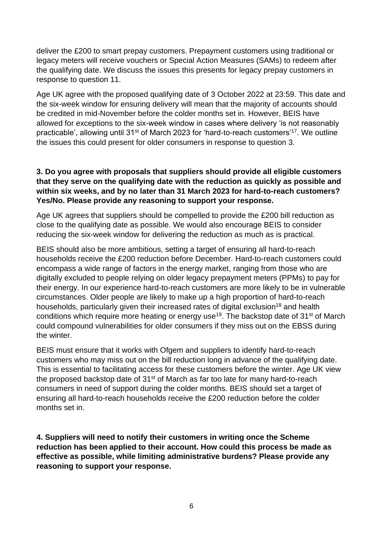deliver the £200 to smart prepay customers. Prepayment customers using traditional or legacy meters will receive vouchers or Special Action Measures (SAMs) to redeem after the qualifying date. We discuss the issues this presents for legacy prepay customers in response to question 11.

Age UK agree with the proposed qualifying date of 3 October 2022 at 23:59. This date and the six-week window for ensuring delivery will mean that the majority of accounts should be credited in mid-November before the colder months set in. However, BEIS have allowed for exceptions to the six-week window in cases where delivery 'is not reasonably practicable', allowing until 31<sup>st</sup> of March 2023 for 'hard-to-reach customers'<sup>17</sup>. We outline the issues this could present for older consumers in response to question 3.

#### **3. Do you agree with proposals that suppliers should provide all eligible customers that they serve on the qualifying date with the reduction as quickly as possible and within six weeks, and by no later than 31 March 2023 for hard-to-reach customers? Yes/No. Please provide any reasoning to support your response.**

Age UK agrees that suppliers should be compelled to provide the £200 bill reduction as close to the qualifying date as possible. We would also encourage BEIS to consider reducing the six-week window for delivering the reduction as much as is practical.

BEIS should also be more ambitious, setting a target of ensuring all hard-to-reach households receive the £200 reduction before December. Hard-to-reach customers could encompass a wide range of factors in the energy market, ranging from those who are digitally excluded to people relying on older legacy prepayment meters (PPMs) to pay for their energy. In our experience hard-to-reach customers are more likely to be in vulnerable circumstances. Older people are likely to make up a high proportion of hard-to-reach households, particularly given their increased rates of digital exclusion<sup>18</sup> and health conditions which require more heating or energy use<sup>19</sup>. The backstop date of 31<sup>st</sup> of March could compound vulnerabilities for older consumers if they miss out on the EBSS during the winter.

BEIS must ensure that it works with Ofgem and suppliers to identify hard-to-reach customers who may miss out on the bill reduction long in advance of the qualifying date. This is essential to facilitating access for these customers before the winter. Age UK view the proposed backstop date of 31<sup>st</sup> of March as far too late for many hard-to-reach consumers in need of support during the colder months. BEIS should set a target of ensuring all hard-to-reach households receive the £200 reduction before the colder months set in.

**4. Suppliers will need to notify their customers in writing once the Scheme reduction has been applied to their account. How could this process be made as effective as possible, while limiting administrative burdens? Please provide any reasoning to support your response.**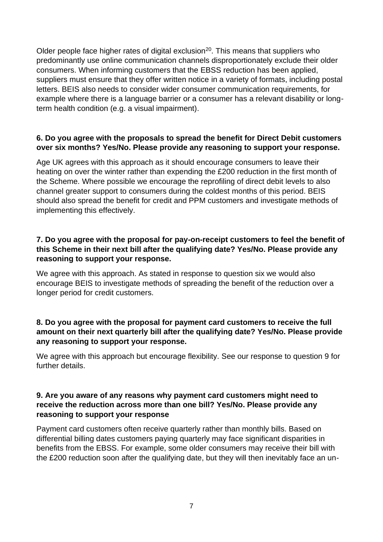Older people face higher rates of digital exclusion<sup>20</sup>. This means that suppliers who predominantly use online communication channels disproportionately exclude their older consumers. When informing customers that the EBSS reduction has been applied, suppliers must ensure that they offer written notice in a variety of formats, including postal letters. BEIS also needs to consider wider consumer communication requirements, for example where there is a language barrier or a consumer has a relevant disability or longterm health condition (e.g. a visual impairment).

## **6. Do you agree with the proposals to spread the benefit for Direct Debit customers over six months? Yes/No. Please provide any reasoning to support your response.**

Age UK agrees with this approach as it should encourage consumers to leave their heating on over the winter rather than expending the £200 reduction in the first month of the Scheme. Where possible we encourage the reprofiling of direct debit levels to also channel greater support to consumers during the coldest months of this period. BEIS should also spread the benefit for credit and PPM customers and investigate methods of implementing this effectively.

## **7. Do you agree with the proposal for pay-on-receipt customers to feel the benefit of this Scheme in their next bill after the qualifying date? Yes/No. Please provide any reasoning to support your response.**

We agree with this approach. As stated in response to question six we would also encourage BEIS to investigate methods of spreading the benefit of the reduction over a longer period for credit customers.

## **8. Do you agree with the proposal for payment card customers to receive the full amount on their next quarterly bill after the qualifying date? Yes/No. Please provide any reasoning to support your response.**

We agree with this approach but encourage flexibility. See our response to question 9 for further details.

#### **9. Are you aware of any reasons why payment card customers might need to receive the reduction across more than one bill? Yes/No. Please provide any reasoning to support your response**

Payment card customers often receive quarterly rather than monthly bills. Based on differential billing dates customers paying quarterly may face significant disparities in benefits from the EBSS. For example, some older consumers may receive their bill with the £200 reduction soon after the qualifying date, but they will then inevitably face an un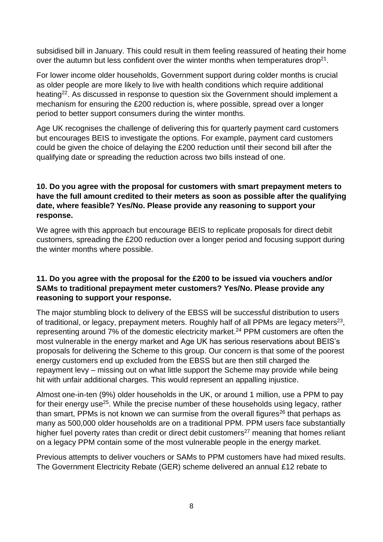subsidised bill in January. This could result in them feeling reassured of heating their home over the autumn but less confident over the winter months when temperatures drop<sup>21</sup>.

For lower income older households, Government support during colder months is crucial as older people are more likely to live with health conditions which require additional heating<sup>22</sup>. As discussed in response to question six the Government should implement a mechanism for ensuring the £200 reduction is, where possible, spread over a longer period to better support consumers during the winter months.

Age UK recognises the challenge of delivering this for quarterly payment card customers but encourages BEIS to investigate the options. For example, payment card customers could be given the choice of delaying the £200 reduction until their second bill after the qualifying date or spreading the reduction across two bills instead of one.

## **10. Do you agree with the proposal for customers with smart prepayment meters to have the full amount credited to their meters as soon as possible after the qualifying date, where feasible? Yes/No. Please provide any reasoning to support your response.**

We agree with this approach but encourage BEIS to replicate proposals for direct debit customers, spreading the £200 reduction over a longer period and focusing support during the winter months where possible.

## **11. Do you agree with the proposal for the £200 to be issued via vouchers and/or SAMs to traditional prepayment meter customers? Yes/No. Please provide any reasoning to support your response.**

The major stumbling block to delivery of the EBSS will be successful distribution to users of traditional, or legacy, prepayment meters. Roughly half of all PPMs are legacy meters<sup>23</sup>, representing around 7% of the domestic electricity market. <sup>24</sup> PPM customers are often the most vulnerable in the energy market and Age UK has serious reservations about BEIS's proposals for delivering the Scheme to this group. Our concern is that some of the poorest energy customers end up excluded from the EBSS but are then still charged the repayment levy – missing out on what little support the Scheme may provide while being hit with unfair additional charges. This would represent an appalling injustice.

Almost one-in-ten (9%) older households in the UK, or around 1 million, use a PPM to pay for their energy use<sup>25</sup>. While the precise number of these households using legacy, rather than smart, PPMs is not known we can surmise from the overall figures<sup>26</sup> that perhaps as many as 500,000 older households are on a traditional PPM. PPM users face substantially higher fuel poverty rates than credit or direct debit customers<sup>27</sup> meaning that homes reliant on a legacy PPM contain some of the most vulnerable people in the energy market.

Previous attempts to deliver vouchers or SAMs to PPM customers have had mixed results. The Government Electricity Rebate (GER) scheme delivered an annual £12 rebate to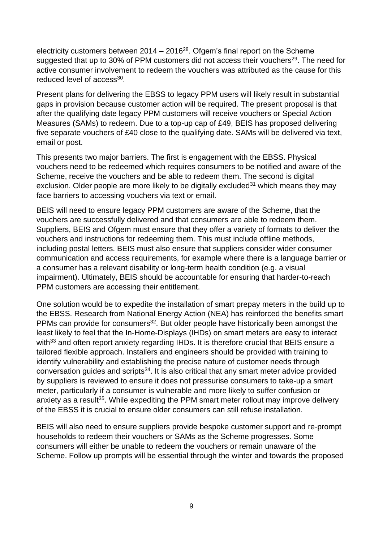electricity customers between  $2014 - 2016^{28}$ . Ofgem's final report on the Scheme suggested that up to 30% of PPM customers did not access their vouchers<sup>29</sup>. The need for active consumer involvement to redeem the vouchers was attributed as the cause for this reduced level of access<sup>30</sup>.

Present plans for delivering the EBSS to legacy PPM users will likely result in substantial gaps in provision because customer action will be required. The present proposal is that after the qualifying date legacy PPM customers will receive vouchers or Special Action Measures (SAMs) to redeem. Due to a top-up cap of £49, BEIS has proposed delivering five separate vouchers of £40 close to the qualifying date. SAMs will be delivered via text, email or post.

This presents two major barriers. The first is engagement with the EBSS. Physical vouchers need to be redeemed which requires consumers to be notified and aware of the Scheme, receive the vouchers and be able to redeem them. The second is digital exclusion. Older people are more likely to be digitally excluded<sup>31</sup> which means they may face barriers to accessing vouchers via text or email.

BEIS will need to ensure legacy PPM customers are aware of the Scheme, that the vouchers are successfully delivered and that consumers are able to redeem them. Suppliers, BEIS and Ofgem must ensure that they offer a variety of formats to deliver the vouchers and instructions for redeeming them. This must include offline methods, including postal letters. BEIS must also ensure that suppliers consider wider consumer communication and access requirements, for example where there is a language barrier or a consumer has a relevant disability or long-term health condition (e.g. a visual impairment). Ultimately, BEIS should be accountable for ensuring that harder-to-reach PPM customers are accessing their entitlement.

One solution would be to expedite the installation of smart prepay meters in the build up to the EBSS. Research from National Energy Action (NEA) has reinforced the benefits smart PPMs can provide for consumers<sup>32</sup>. But older people have historically been amongst the least likely to feel that the In-Home-Displays (IHDs) on smart meters are easy to interact with<sup>33</sup> and often report anxiety regarding IHDs. It is therefore crucial that BEIS ensure a tailored flexible approach. Installers and engineers should be provided with training to identify vulnerability and establishing the precise nature of customer needs through conversation guides and scripts<sup>34</sup>. It is also critical that any smart meter advice provided by suppliers is reviewed to ensure it does not pressurise consumers to take-up a smart meter, particularly if a consumer is vulnerable and more likely to suffer confusion or anxiety as a result<sup>35</sup>. While expediting the PPM smart meter rollout may improve delivery of the EBSS it is crucial to ensure older consumers can still refuse installation.

BEIS will also need to ensure suppliers provide bespoke customer support and re-prompt households to redeem their vouchers or SAMs as the Scheme progresses. Some consumers will either be unable to redeem the vouchers or remain unaware of the Scheme. Follow up prompts will be essential through the winter and towards the proposed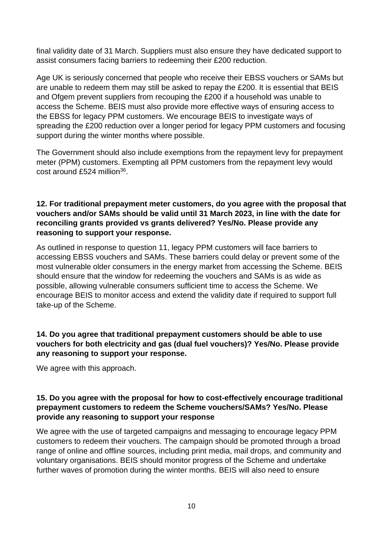final validity date of 31 March. Suppliers must also ensure they have dedicated support to assist consumers facing barriers to redeeming their £200 reduction.

Age UK is seriously concerned that people who receive their EBSS vouchers or SAMs but are unable to redeem them may still be asked to repay the £200. It is essential that BEIS and Ofgem prevent suppliers from recouping the £200 if a household was unable to access the Scheme. BEIS must also provide more effective ways of ensuring access to the EBSS for legacy PPM customers. We encourage BEIS to investigate ways of spreading the £200 reduction over a longer period for legacy PPM customers and focusing support during the winter months where possible.

The Government should also include exemptions from the repayment levy for prepayment meter (PPM) customers. Exempting all PPM customers from the repayment levy would  $\cot$  around £524 million $^{36}$ .

## **12. For traditional prepayment meter customers, do you agree with the proposal that vouchers and/or SAMs should be valid until 31 March 2023, in line with the date for reconciling grants provided vs grants delivered? Yes/No. Please provide any reasoning to support your response.**

As outlined in response to question 11, legacy PPM customers will face barriers to accessing EBSS vouchers and SAMs. These barriers could delay or prevent some of the most vulnerable older consumers in the energy market from accessing the Scheme. BEIS should ensure that the window for redeeming the vouchers and SAMs is as wide as possible, allowing vulnerable consumers sufficient time to access the Scheme. We encourage BEIS to monitor access and extend the validity date if required to support full take-up of the Scheme.

## **14. Do you agree that traditional prepayment customers should be able to use vouchers for both electricity and gas (dual fuel vouchers)? Yes/No. Please provide any reasoning to support your response.**

We agree with this approach.

#### **15. Do you agree with the proposal for how to cost-effectively encourage traditional prepayment customers to redeem the Scheme vouchers/SAMs? Yes/No. Please provide any reasoning to support your response**

We agree with the use of targeted campaigns and messaging to encourage legacy PPM customers to redeem their vouchers. The campaign should be promoted through a broad range of online and offline sources, including print media, mail drops, and community and voluntary organisations. BEIS should monitor progress of the Scheme and undertake further waves of promotion during the winter months. BEIS will also need to ensure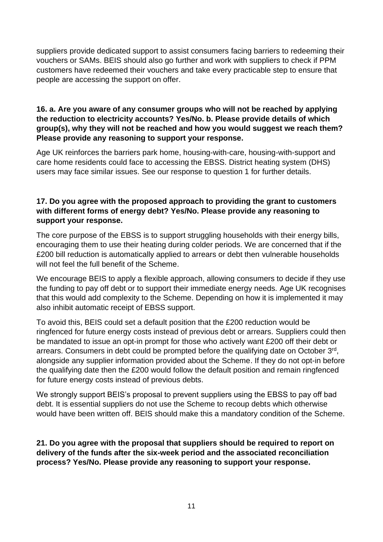suppliers provide dedicated support to assist consumers facing barriers to redeeming their vouchers or SAMs. BEIS should also go further and work with suppliers to check if PPM customers have redeemed their vouchers and take every practicable step to ensure that people are accessing the support on offer.

## **16. a. Are you aware of any consumer groups who will not be reached by applying the reduction to electricity accounts? Yes/No. b. Please provide details of which group(s), why they will not be reached and how you would suggest we reach them? Please provide any reasoning to support your response.**

Age UK reinforces the barriers park home, housing-with-care, housing-with-support and care home residents could face to accessing the EBSS. District heating system (DHS) users may face similar issues. See our response to question 1 for further details.

## **17. Do you agree with the proposed approach to providing the grant to customers with different forms of energy debt? Yes/No. Please provide any reasoning to support your response.**

The core purpose of the EBSS is to support struggling households with their energy bills, encouraging them to use their heating during colder periods. We are concerned that if the £200 bill reduction is automatically applied to arrears or debt then vulnerable households will not feel the full benefit of the Scheme.

We encourage BEIS to apply a flexible approach, allowing consumers to decide if they use the funding to pay off debt or to support their immediate energy needs. Age UK recognises that this would add complexity to the Scheme. Depending on how it is implemented it may also inhibit automatic receipt of EBSS support.

To avoid this, BEIS could set a default position that the £200 reduction would be ringfenced for future energy costs instead of previous debt or arrears. Suppliers could then be mandated to issue an opt-in prompt for those who actively want £200 off their debt or arrears. Consumers in debt could be prompted before the qualifying date on October 3<sup>rd</sup>, alongside any supplier information provided about the Scheme. If they do not opt-in before the qualifying date then the £200 would follow the default position and remain ringfenced for future energy costs instead of previous debts.

We strongly support BEIS's proposal to prevent suppliers using the EBSS to pay off bad debt. It is essential suppliers do not use the Scheme to recoup debts which otherwise would have been written off. BEIS should make this a mandatory condition of the Scheme.

**21. Do you agree with the proposal that suppliers should be required to report on delivery of the funds after the six-week period and the associated reconciliation process? Yes/No. Please provide any reasoning to support your response.**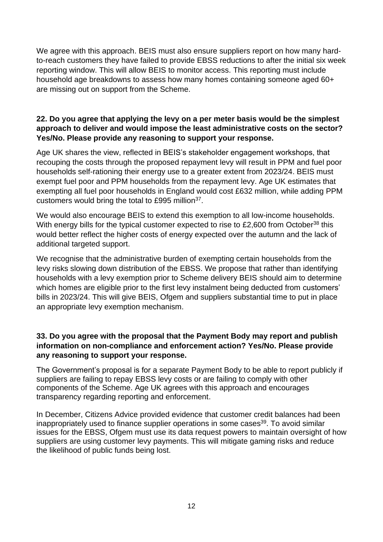We agree with this approach. BEIS must also ensure suppliers report on how many hardto-reach customers they have failed to provide EBSS reductions to after the initial six week reporting window. This will allow BEIS to monitor access. This reporting must include household age breakdowns to assess how many homes containing someone aged 60+ are missing out on support from the Scheme.

#### **22. Do you agree that applying the levy on a per meter basis would be the simplest approach to deliver and would impose the least administrative costs on the sector? Yes/No. Please provide any reasoning to support your response.**

Age UK shares the view, reflected in BEIS's stakeholder engagement workshops, that recouping the costs through the proposed repayment levy will result in PPM and fuel poor households self-rationing their energy use to a greater extent from 2023/24. BEIS must exempt fuel poor and PPM households from the repayment levy. Age UK estimates that exempting all fuel poor households in England would cost £632 million, while adding PPM customers would bring the total to £995 million<sup>37</sup>.

We would also encourage BEIS to extend this exemption to all low-income households. With energy bills for the typical customer expected to rise to £2,600 from October<sup>38</sup> this would better reflect the higher costs of energy expected over the autumn and the lack of additional targeted support.

We recognise that the administrative burden of exempting certain households from the levy risks slowing down distribution of the EBSS. We propose that rather than identifying households with a levy exemption prior to Scheme delivery BEIS should aim to determine which homes are eligible prior to the first levy instalment being deducted from customers' bills in 2023/24. This will give BEIS, Ofgem and suppliers substantial time to put in place an appropriate levy exemption mechanism.

## **33. Do you agree with the proposal that the Payment Body may report and publish information on non-compliance and enforcement action? Yes/No. Please provide any reasoning to support your response.**

The Government's proposal is for a separate Payment Body to be able to report publicly if suppliers are failing to repay EBSS levy costs or are failing to comply with other components of the Scheme. Age UK agrees with this approach and encourages transparency regarding reporting and enforcement.

In December, Citizens Advice provided evidence that customer credit balances had been inappropriately used to finance supplier operations in some cases<sup>39</sup>. To avoid similar issues for the EBSS, Ofgem must use its data request powers to maintain oversight of how suppliers are using customer levy payments. This will mitigate gaming risks and reduce the likelihood of public funds being lost.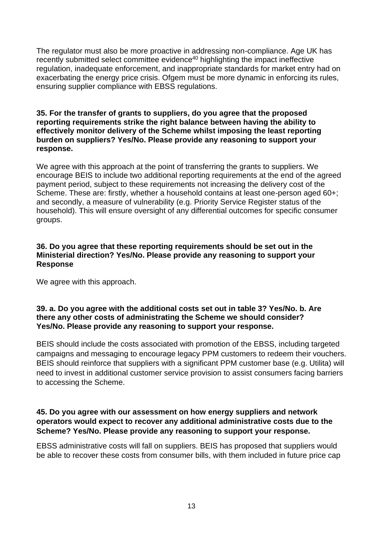The regulator must also be more proactive in addressing non-compliance. Age UK has recently submitted select committee evidence<sup>40</sup> highlighting the impact ineffective regulation, inadequate enforcement, and inappropriate standards for market entry had on exacerbating the energy price crisis. Ofgem must be more dynamic in enforcing its rules, ensuring supplier compliance with EBSS regulations.

#### **35. For the transfer of grants to suppliers, do you agree that the proposed reporting requirements strike the right balance between having the ability to effectively monitor delivery of the Scheme whilst imposing the least reporting burden on suppliers? Yes/No. Please provide any reasoning to support your response.**

We agree with this approach at the point of transferring the grants to suppliers. We encourage BEIS to include two additional reporting requirements at the end of the agreed payment period, subject to these requirements not increasing the delivery cost of the Scheme. These are: firstly, whether a household contains at least one-person aged 60+; and secondly, a measure of vulnerability (e.g. Priority Service Register status of the household). This will ensure oversight of any differential outcomes for specific consumer groups.

#### **36. Do you agree that these reporting requirements should be set out in the Ministerial direction? Yes/No. Please provide any reasoning to support your Response**

We agree with this approach.

#### **39. a. Do you agree with the additional costs set out in table 3? Yes/No. b. Are there any other costs of administrating the Scheme we should consider? Yes/No. Please provide any reasoning to support your response.**

BEIS should include the costs associated with promotion of the EBSS, including targeted campaigns and messaging to encourage legacy PPM customers to redeem their vouchers. BEIS should reinforce that suppliers with a significant PPM customer base (e.g. Utilita) will need to invest in additional customer service provision to assist consumers facing barriers to accessing the Scheme.

#### **45. Do you agree with our assessment on how energy suppliers and network operators would expect to recover any additional administrative costs due to the Scheme? Yes/No. Please provide any reasoning to support your response.**

EBSS administrative costs will fall on suppliers. BEIS has proposed that suppliers would be able to recover these costs from consumer bills, with them included in future price cap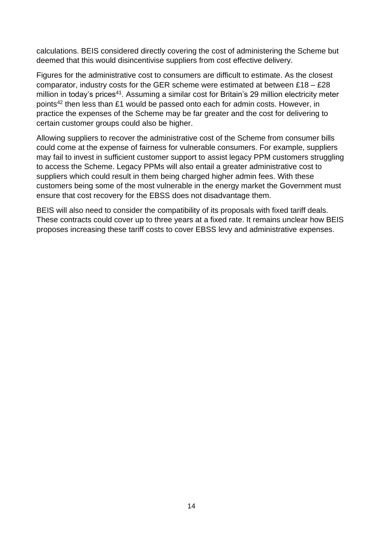calculations. BEIS considered directly covering the cost of administering the Scheme but deemed that this would disincentivise suppliers from cost effective delivery.

Figures for the administrative cost to consumers are difficult to estimate. As the closest comparator, industry costs for the GER scheme were estimated at between £18 – £28 million in today's prices<sup>41</sup>. Assuming a similar cost for Britain's 29 million electricity meter points<sup>42</sup> then less than £1 would be passed onto each for admin costs. However, in practice the expenses of the Scheme may be far greater and the cost for delivering to certain customer groups could also be higher.

Allowing suppliers to recover the administrative cost of the Scheme from consumer bills could come at the expense of fairness for vulnerable consumers. For example, suppliers may fail to invest in sufficient customer support to assist legacy PPM customers struggling to access the Scheme. Legacy PPMs will also entail a greater administrative cost to suppliers which could result in them being charged higher admin fees. With these customers being some of the most vulnerable in the energy market the Government must ensure that cost recovery for the EBSS does not disadvantage them.

BEIS will also need to consider the compatibility of its proposals with fixed tariff deals. These contracts could cover up to three years at a fixed rate. It remains unclear how BEIS proposes increasing these tariff costs to cover EBSS levy and administrative expenses.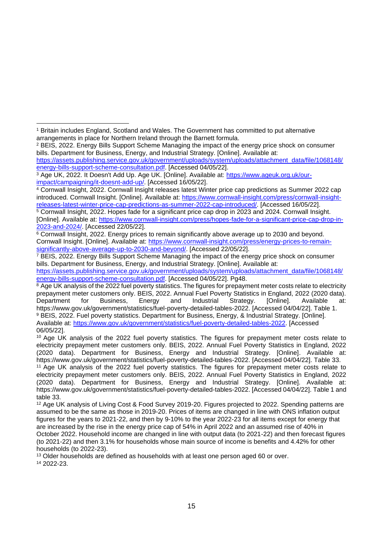<sup>13</sup> Older households are defined as households with at least one person aged 60 or over.

<sup>14</sup> 2022-23.

<sup>1</sup> Britain includes England, Scotland and Wales. The Government has committed to put alternative arrangements in place for Northern Ireland through the Barnett formula.

<sup>2</sup> BEIS, 2022. Energy Bills Support Scheme Managing the impact of the energy price shock on consumer bills. Department for Business, Energy, and Industrial Strategy. [Online]. Available at:

[https://assets.publishing.service.gov.uk/government/uploads/system/uploads/attachment\\_data/file/1068148/](https://assets.publishing.service.gov.uk/government/uploads/system/uploads/attachment_data/file/1068148/energy-bills-support-scheme-consultation.pdf) [energy-bills-support-scheme-consultation.pdf.](https://assets.publishing.service.gov.uk/government/uploads/system/uploads/attachment_data/file/1068148/energy-bills-support-scheme-consultation.pdf) [Accessed 04/05/22].

<sup>3</sup> Age UK, 2022. It Doesn't Add Up. Age UK. [Online]. Available at: [https://www.ageuk.org.uk/our](https://www.ageuk.org.uk/our-impact/campaigning/it-doesnt-add-up/)[impact/campaigning/it-doesnt-add-up/.](https://www.ageuk.org.uk/our-impact/campaigning/it-doesnt-add-up/) [Accessed 16/05/22].

<sup>4</sup> Cornwall Insight, 2022. Cornwall Insight releases latest Winter price cap predictions as Summer 2022 cap introduced. Cornwall Insight. [Online]. Available at: [https://www.cornwall-insight.com/press/cornwall-insight](https://www.cornwall-insight.com/press/cornwall-insight-releases-latest-winter-price-cap-predictions-as-summer-2022-cap-introduced/)[releases-latest-winter-price-cap-predictions-as-summer-2022-cap-introduced/.](https://www.cornwall-insight.com/press/cornwall-insight-releases-latest-winter-price-cap-predictions-as-summer-2022-cap-introduced/) [Accessed 16/05/22].

<sup>&</sup>lt;sup>5</sup> Cornwall Insight, 2022. Hopes fade for a significant price cap drop in 2023 and 2024. Cornwall Insight. [Online]. Available at: [https://www.cornwall-insight.com/press/hopes-fade-for-a-significant-price-cap-drop-in-](https://www.cornwall-insight.com/press/hopes-fade-for-a-significant-price-cap-drop-in-2023-and-2024/)[2023-and-2024/.](https://www.cornwall-insight.com/press/hopes-fade-for-a-significant-price-cap-drop-in-2023-and-2024/) [Accessed 22/05/22].

<sup>6</sup> Cornwall Insight, 2022. Energy prices to remain significantly above average up to 2030 and beyond. Cornwall Insight. [Online]. Available at: [https://www.cornwall-insight.com/press/energy-prices-to-remain](https://www.cornwall-insight.com/press/energy-prices-to-remain-significantly-above-average-up-to-2030-and-beyond/)[significantly-above-average-up-to-2030-and-beyond/.](https://www.cornwall-insight.com/press/energy-prices-to-remain-significantly-above-average-up-to-2030-and-beyond/) [Accessed 22/05/22].

<sup>&</sup>lt;sup>7</sup> BEIS, 2022. Energy Bills Support Scheme Managing the impact of the energy price shock on consumer bills. Department for Business, Energy, and Industrial Strategy. [Online]. Available at:

[https://assets.publishing.service.gov.uk/government/uploads/system/uploads/attachment\\_data/file/1068148/](https://assets.publishing.service.gov.uk/government/uploads/system/uploads/attachment_data/file/1068148/energy-bills-support-scheme-consultation.pdf) [energy-bills-support-scheme-consultation.pdf.](https://assets.publishing.service.gov.uk/government/uploads/system/uploads/attachment_data/file/1068148/energy-bills-support-scheme-consultation.pdf) [Accessed 04/05/22]. Pg48.

<sup>&</sup>lt;sup>8</sup> Age UK analysis of the 2022 fuel poverty statistics. The figures for prepayment meter costs relate to electricity prepayment meter customers only. BEIS, 2022. Annual Fuel Poverty Statistics in England, 2022 (2020 data).<br>Department for Business, Energy and Industrial Strategy. [Online]. Available at: Department for Business, Energy and Industrial Strategy. [Online]. Available at: https://www.gov.uk/government/statistics/fuel-poverty-detailed-tables-2022. [Accessed 04/04/22]. Table 1. <sup>9</sup> BEIS, 2022. Fuel poverty statistics. Department for Business, Energy, & Industrial Strategy. [Online]. Available at: [https://www.gov.uk/government/statistics/fuel-poverty-detailed-tables-2022.](https://www.gov.uk/government/statistics/fuel-poverty-detailed-tables-2022) [Accessed 06/05/22].

<sup>10</sup> Age UK analysis of the 2022 fuel poverty statistics. The figures for prepayment meter costs relate to electricity prepayment meter customers only. BEIS, 2022. Annual Fuel Poverty Statistics in England, 2022 (2020 data). Department for Business, Energy and Industrial Strategy. [Online]. Available at: https://www.gov.uk/government/statistics/fuel-poverty-detailed-tables-2022. [Accessed 04/04/22]. Table 33. <sup>11</sup> Age UK analysis of the 2022 fuel poverty statistics. The figures for prepayment meter costs relate to electricity prepayment meter customers only. BEIS, 2022. Annual Fuel Poverty Statistics in England, 2022 (2020 data). Department for Business, Energy and Industrial Strategy. [Online]. Available at: https://www.gov.uk/government/statistics/fuel-poverty-detailed-tables-2022. [Accessed 04/04/22]. Table 1 and table 33.

<sup>&</sup>lt;sup>12</sup> Age UK analysis of Living Cost & Food Survey 2019-20. Figures projected to 2022. Spending patterns are assumed to be the same as those in 2019-20. Prices of items are changed in line with ONS inflation output figures for the years to 2021-22, and then by 9-10% to the year 2022-23 for all items except for energy that are increased by the rise in the energy price cap of 54% in April 2022 and an assumed rise of 40% in October 2022. Household income are changed in line with output data (to 2021-22) and then forecast figures (to 2021-22) and then 3.1% for households whose main source of income is benefits and 4.42% for other households (to 2022-23).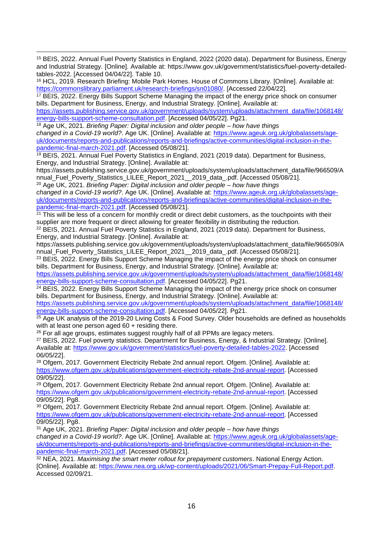<sup>15</sup> BEIS, 2022. Annual Fuel Poverty Statistics in England, 2022 (2020 data). Department for Business, Energy and Industrial Strategy. [Online]. Available at: https://www.gov.uk/government/statistics/fuel-poverty-detailedtables-2022. [Accessed 04/04/22]. Table 10.

<sup>16</sup> HCL, 2019. Research Briefing: Mobile Park Homes. House of Commons Library. [Online]. Available at: [https://commonslibrary.parliament.uk/research-briefings/sn01080/.](https://commonslibrary.parliament.uk/research-briefings/sn01080/) [Accessed 22/04/22].

<sup>17</sup> BEIS, 2022. Energy Bills Support Scheme Managing the impact of the energy price shock on consumer bills. Department for Business, Energy, and Industrial Strategy. [Online]. Available at:

[https://assets.publishing.service.gov.uk/government/uploads/system/uploads/attachment\\_data/file/1068148/](https://assets.publishing.service.gov.uk/government/uploads/system/uploads/attachment_data/file/1068148/energy-bills-support-scheme-consultation.pdf) [energy-bills-support-scheme-consultation.pdf.](https://assets.publishing.service.gov.uk/government/uploads/system/uploads/attachment_data/file/1068148/energy-bills-support-scheme-consultation.pdf) [Accessed 04/05/22]. Pg21.

<sup>18</sup> Age UK, 2021. *Briefing Paper: Digital inclusion and older people – how have things changed in a Covid-19 world?*. Age UK. [Online]. Available at: [https://www.ageuk.org.uk/globalassets/age](https://www.ageuk.org.uk/globalassets/age-uk/documents/reports-and-publications/reports-and-briefings/active-communities/digital-inclusion-in-the-pandemic-final-march-2021.pdf)[uk/documents/reports-and-publications/reports-and-briefings/active-communities/digital-inclusion-in-the-](https://www.ageuk.org.uk/globalassets/age-uk/documents/reports-and-publications/reports-and-briefings/active-communities/digital-inclusion-in-the-pandemic-final-march-2021.pdf)

[pandemic-final-march-2021.pdf.](https://www.ageuk.org.uk/globalassets/age-uk/documents/reports-and-publications/reports-and-briefings/active-communities/digital-inclusion-in-the-pandemic-final-march-2021.pdf) [Accessed 05/08/21].

<sup>19</sup> BEIS, 2021. Annual Fuel Poverty Statistics in England, 2021 (2019 data). Department for Business, Energy, and Industrial Strategy. [Online]. Available at:

https://assets.publishing.service.gov.uk/government/uploads/system/uploads/attachment\_data/file/966509/A nnual\_Fuel\_Poverty\_Statistics\_LILEE\_Report\_2021\_\_2019\_data\_.pdf. [Accessed 05/08/21].

<sup>20</sup> Age UK, 2021. *Briefing Paper: Digital inclusion and older people – how have things* 

*changed in a Covid-19 world?*. Age UK. [Online]. Available at: [https://www.ageuk.org.uk/globalassets/age](https://www.ageuk.org.uk/globalassets/age-uk/documents/reports-and-publications/reports-and-briefings/active-communities/digital-inclusion-in-the-pandemic-final-march-2021.pdf)[uk/documents/reports-and-publications/reports-and-briefings/active-communities/digital-inclusion-in-the](https://www.ageuk.org.uk/globalassets/age-uk/documents/reports-and-publications/reports-and-briefings/active-communities/digital-inclusion-in-the-pandemic-final-march-2021.pdf)[pandemic-final-march-2021.pdf.](https://www.ageuk.org.uk/globalassets/age-uk/documents/reports-and-publications/reports-and-briefings/active-communities/digital-inclusion-in-the-pandemic-final-march-2021.pdf) [Accessed 05/08/21].

 $^{21}$  This will be less of a concern for monthly credit or direct debit customers, as the touchpoints with their supplier are more frequent or direct allowing for greater flexibility in distributing the reduction.

<sup>22</sup> BEIS, 2021. Annual Fuel Poverty Statistics in England, 2021 (2019 data). Department for Business, Energy, and Industrial Strategy. [Online]. Available at:

https://assets.publishing.service.gov.uk/government/uploads/system/uploads/attachment\_data/file/966509/A nnual\_Fuel\_Poverty\_Statistics\_LILEE\_Report\_2021\_\_2019\_data\_.pdf. [Accessed 05/08/21].

<sup>23</sup> BEIS, 2022. Energy Bills Support Scheme Managing the impact of the energy price shock on consumer bills. Department for Business, Energy, and Industrial Strategy. [Online]. Available at:

[https://assets.publishing.service.gov.uk/government/uploads/system/uploads/attachment\\_data/file/1068148/](https://assets.publishing.service.gov.uk/government/uploads/system/uploads/attachment_data/file/1068148/energy-bills-support-scheme-consultation.pdf) [energy-bills-support-scheme-consultation.pdf.](https://assets.publishing.service.gov.uk/government/uploads/system/uploads/attachment_data/file/1068148/energy-bills-support-scheme-consultation.pdf) [Accessed 04/05/22]. Pg21.

<sup>24</sup> BEIS, 2022. Energy Bills Support Scheme Managing the impact of the energy price shock on consumer bills. Department for Business, Energy, and Industrial Strategy. [Online]. Available at:

[https://assets.publishing.service.gov.uk/government/uploads/system/uploads/attachment\\_data/file/1068148/](https://assets.publishing.service.gov.uk/government/uploads/system/uploads/attachment_data/file/1068148/energy-bills-support-scheme-consultation.pdf) [energy-bills-support-scheme-consultation.pdf.](https://assets.publishing.service.gov.uk/government/uploads/system/uploads/attachment_data/file/1068148/energy-bills-support-scheme-consultation.pdf) [Accessed 04/05/22]. Pg21.

<sup>25</sup> Age UK analysis of the 2019-20 Living Costs & Food Survey. Older households are defined as households with at least one person aged 60 + residing there.

<sup>26</sup> For all age groups, estimates suggest roughly half of all PPMs are legacy meters.

<sup>27</sup> BEIS, 2022. Fuel poverty statistics. Department for Business, Energy, & Industrial Strategy. [Online]. Available at: [https://www.gov.uk/government/statistics/fuel-poverty-detailed-tables-2022.](https://www.gov.uk/government/statistics/fuel-poverty-detailed-tables-2022) [Accessed 06/05/22].

<sup>28</sup> Ofgem, 2017. Government Electricity Rebate 2nd annual report. Ofgem. [Online]. Available at: [https://www.ofgem.gov.uk/publications/government-electricity-rebate-2nd-annual-report.](https://www.ofgem.gov.uk/publications/government-electricity-rebate-2nd-annual-report) [Accessed 09/05/22].

<sup>29</sup> Ofgem, 2017. Government Electricity Rebate 2nd annual report. Ofgem. [Online]. Available at: [https://www.ofgem.gov.uk/publications/government-electricity-rebate-2nd-annual-report.](https://www.ofgem.gov.uk/publications/government-electricity-rebate-2nd-annual-report) [Accessed 09/05/221. Pg8.

<sup>30</sup> Ofgem, 2017. Government Electricity Rebate 2nd annual report. Ofgem. [Online]. Available at: [https://www.ofgem.gov.uk/publications/government-electricity-rebate-2nd-annual-report.](https://www.ofgem.gov.uk/publications/government-electricity-rebate-2nd-annual-report) [Accessed 09/05/22]. Pg8.

<sup>31</sup> Age UK, 2021. *Briefing Paper: Digital inclusion and older people – how have things changed in a Covid-19 world?*. Age UK. [Online]. Available at: [https://www.ageuk.org.uk/globalassets/age](https://www.ageuk.org.uk/globalassets/age-uk/documents/reports-and-publications/reports-and-briefings/active-communities/digital-inclusion-in-the-pandemic-final-march-2021.pdf)[uk/documents/reports-and-publications/reports-and-briefings/active-communities/digital-inclusion-in-the](https://www.ageuk.org.uk/globalassets/age-uk/documents/reports-and-publications/reports-and-briefings/active-communities/digital-inclusion-in-the-pandemic-final-march-2021.pdf)[pandemic-final-march-2021.pdf.](https://www.ageuk.org.uk/globalassets/age-uk/documents/reports-and-publications/reports-and-briefings/active-communities/digital-inclusion-in-the-pandemic-final-march-2021.pdf) [Accessed 05/08/21].

<sup>32</sup> NEA, 2021. *Maximising the smart meter rollout for prepayment customers*. National Energy Action. [Online]. Available at: [https://www.nea.org.uk/wp-content/uploads/2021/06/Smart-Prepay-Full-Report.pdf.](https://www.nea.org.uk/wp-content/uploads/2021/06/Smart-Prepay-Full-Report.pdf) Accessed 02/09/21.